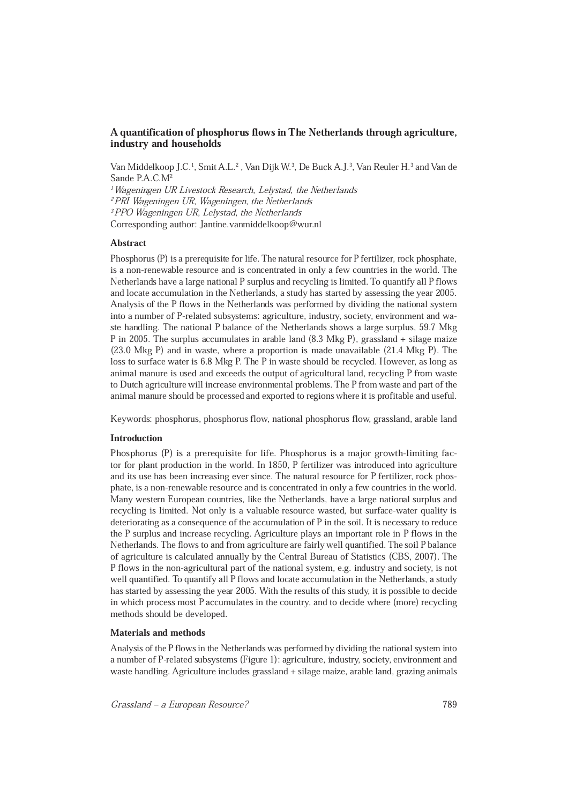# A quantification of phosphorus flows in The Netherlands through agriculture, industry and households

Van Middelkoop J.C.<sup>1</sup>, Smit A.L.<sup>2</sup>, Van Dijk W.<sup>3</sup>, De Buck A.J.<sup>3</sup>, Van Reuler H.<sup>3</sup> and Van de Sande P.A.C.M<sup>2</sup> <sup>1</sup>Wageningen UR Livestock Research, Lelystad, the Netherlands<br><sup>2</sup>PRI Wageningen UR, Wageningen, the Netherlands<br><sup>3</sup>PPO Wageningen UR, Lelystad, the Netherlands

Corresponding author: Jantine.vanmiddelkoop@wur.nl

### Abstract

Phosphorus (P) is a prerequisite for life. The natural resource for P fertilizer, rock phosphate, is a non-renewable resource and is concentrated in only a few countries in the world. The Netherlands have a large national P surplus and recycling is limited. To quantify all P flows and locate accumulation in the Netherlands, a study has started by assessing the year 2005. Analysis of the P flows in the Netherlands was performed by dividing the national system into a number of P-related subsystems: agriculture, industry, society, environment and waste handling. The national P balance of the Netherlands shows a large surplus, 59.7 Mkg P in 2005. The surplus accumulates in arable land (8.3 Mkg P), grassland + silage maize (23.0 Mkg P) and in waste, where a proportion is made unavailable (21.4 Mkg P). The loss to surface water is 6.8 Mkg P. The P in waste should be recycled. However, as long as animal manure is used and exceeds the output of agricultural land, recycling P from waste to Dutch agriculture will increase environmental problems. The P from waste and part of the animal manure should be processed and exported to regions where it is profitable and useful.

Keywords: phosphorus, phosphorus flow, national phosphorus flow, grassland, arable land

# Introduction

Phosphorus (P) is a prerequisite for life. Phosphorus is a major growth-limiting factor for plant production in the world. In 1850, P fertilizer was introduced into agriculture and its use has been increasing ever since. The natural resource for P fertilizer, rock phosphate, is a non-renewable resource and is concentrated in only a few countries in the world. Many western European countries, like the Netherlands, have a large national surplus and recycling is limited. Not only is a valuable resource wasted, but surface-water quality is deteriorating as a consequence of the accumulation of P in the soil. It is necessary to reduce the P surplus and increase recycling. Agriculture plays an important role in P flows in the Netherlands. The flows to and from agriculture are fairly well quantified. The soil P balance of agriculture is calculated annually by the Central Bureau of Statistics (CBS, 2007). The P flows in the non-agricultural part of the national system, e.g. industry and society, is not well quantified. To quantify all P flows and locate accumulation in the Netherlands, a study has started by assessing the year 2005. With the results of this study, it is possible to decide in which process most P accumulates in the country, and to decide where (more) recycling methods should be developed.

## Materials and methods

Analysis of the P flows in the Netherlands was performed by dividing the national system into a number of P-related subsystems (Figure 1): agriculture, industry, society, environment and waste handling. Agriculture includes grassland + silage maize, arable land, grazing animals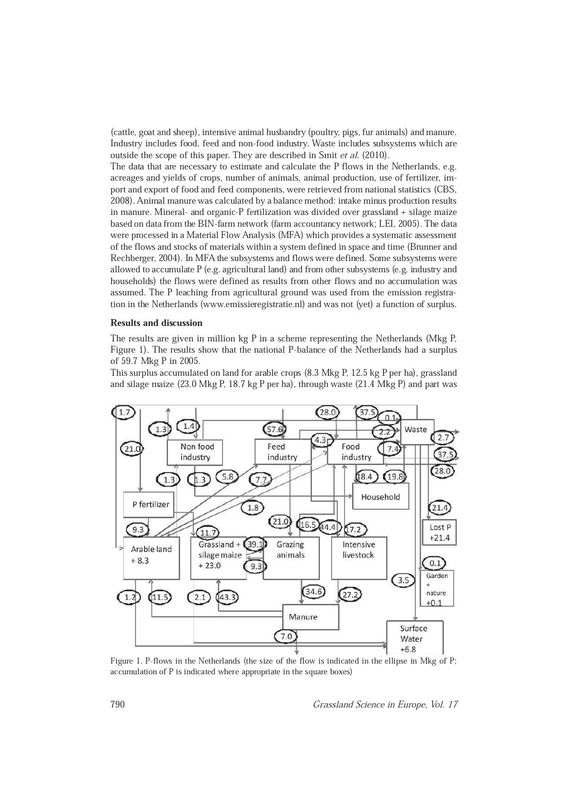(cattle, goat and sheep), intensive animal husbandry (poultry, pigs, fur animals) and manure. Industry includes food, feed and non-food industry. Waste includes subsystems which are outside the scope of this paper. They are described in Smit et al. (2010).

The data that are necessary to estimate and calculate the P flows in the Netherlands, e.g. acreages and yields of crops, number of animals, animal production, use of fertilizer, import and export of food and feed components, were retrieved from national statistics (CBS, 2008). Animal manure was calculated by a balance method: intake minus production results in manure. Mineral- and organic-P fertilization was divided over grassland + silage maize based on data from the BIN-farm network (farm accountancy network; LEI, 2005). The data were processed in a Material Flow Analysis (MFA) which provides a systematic assessment of the flows and stocks of materials within a system defined in space and time (Brunner and Rechberger, 2004). In MFA the subsystems and flows were defined. Some subsystems were allowed to accumulate P (e.g. agricultural land) and from other subsystems (e.g. industry and households) the flows were defined as results from other flows and no accumulation was assumed. The P leaching from agricultural ground was used from the emission registration in the Netherlands (www.emissieregistratie.nl) and was not (yet) a function of surplus.

#### Results and discussion

The results are given in million kg P in a scheme representing the Netherlands (Mkg P, Figure 1). The results show that the national P-balance of the Netherlands had a surplus of 59.7 Mkg P in 2005.

This surplus accumulated on land for arable crops (8.3 Mkg P, 12.5 kg P per ha), grassland and silage maize (23.0 Mkg P, 18.7 kg P per ha), through waste (21.4 Mkg P) and part was



Figure 1. P-flows in the Netherlands (the size of the flow is indicated in the ellipse in Mkg of P; accumulation of P is indicated where appropriate in the square boxes)

<sup>790</sup> Grassland Science in Europe, Vol. 17